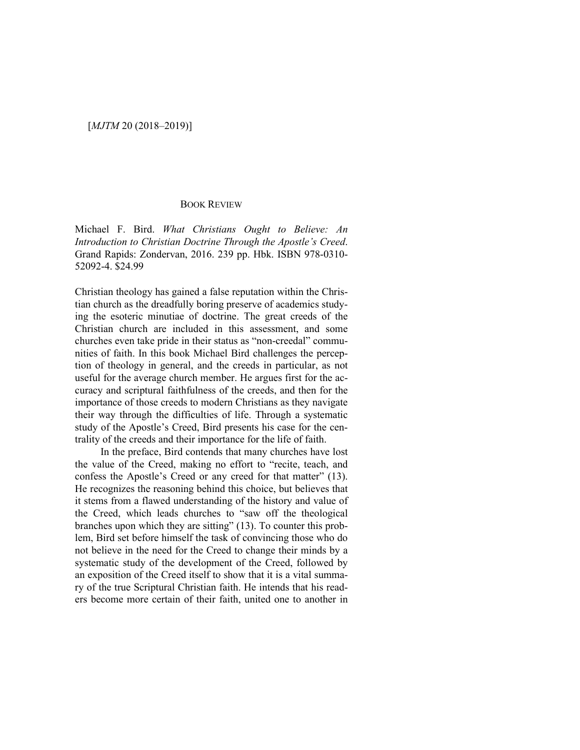## [*MJTM* 20 (2018–2019)]

## BOOK REVIEW

Michael F. Bird. *What Christians Ought to Believe: An Introduction to Christian Doctrine Through the Apostle's Creed*. Grand Rapids: Zondervan, 2016. 239 pp. Hbk. ISBN 978-0310- 52092-4. \$24.99

Christian theology has gained a false reputation within the Christian church as the dreadfully boring preserve of academics studying the esoteric minutiae of doctrine. The great creeds of the Christian church are included in this assessment, and some churches even take pride in their status as "non-creedal" communities of faith. In this book Michael Bird challenges the perception of theology in general, and the creeds in particular, as not useful for the average church member. He argues first for the accuracy and scriptural faithfulness of the creeds, and then for the importance of those creeds to modern Christians as they navigate their way through the difficulties of life. Through a systematic study of the Apostle's Creed, Bird presents his case for the centrality of the creeds and their importance for the life of faith.

 In the preface, Bird contends that many churches have lost the value of the Creed, making no effort to "recite, teach, and confess the Apostle's Creed or any creed for that matter" (13). He recognizes the reasoning behind this choice, but believes that it stems from a flawed understanding of the history and value of the Creed, which leads churches to "saw off the theological branches upon which they are sitting" (13). To counter this problem, Bird set before himself the task of convincing those who do not believe in the need for the Creed to change their minds by a systematic study of the development of the Creed, followed by an exposition of the Creed itself to show that it is a vital summary of the true Scriptural Christian faith. He intends that his readers become more certain of their faith, united one to another in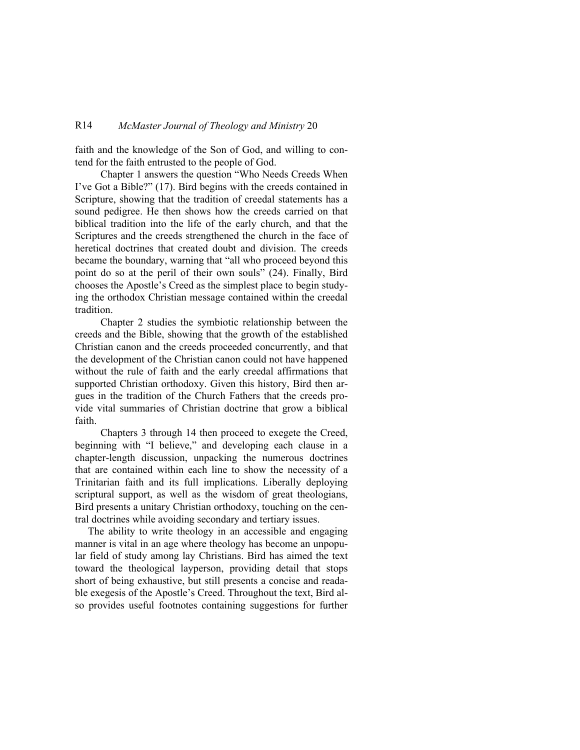## R14 *McMaster Journal of Theology and Ministry* 20

faith and the knowledge of the Son of God, and willing to contend for the faith entrusted to the people of God.

 Chapter 1 answers the question "Who Needs Creeds When I've Got a Bible?" (17). Bird begins with the creeds contained in Scripture, showing that the tradition of creedal statements has a sound pedigree. He then shows how the creeds carried on that biblical tradition into the life of the early church, and that the Scriptures and the creeds strengthened the church in the face of heretical doctrines that created doubt and division. The creeds became the boundary, warning that "all who proceed beyond this point do so at the peril of their own souls" (24). Finally, Bird chooses the Apostle's Creed as the simplest place to begin studying the orthodox Christian message contained within the creedal tradition.

 Chapter 2 studies the symbiotic relationship between the creeds and the Bible, showing that the growth of the established Christian canon and the creeds proceeded concurrently, and that the development of the Christian canon could not have happened without the rule of faith and the early creedal affirmations that supported Christian orthodoxy. Given this history, Bird then argues in the tradition of the Church Fathers that the creeds provide vital summaries of Christian doctrine that grow a biblical faith.

 Chapters 3 through 14 then proceed to exegete the Creed, beginning with "I believe," and developing each clause in a chapter-length discussion, unpacking the numerous doctrines that are contained within each line to show the necessity of a Trinitarian faith and its full implications. Liberally deploying scriptural support, as well as the wisdom of great theologians, Bird presents a unitary Christian orthodoxy, touching on the central doctrines while avoiding secondary and tertiary issues.

The ability to write theology in an accessible and engaging manner is vital in an age where theology has become an unpopular field of study among lay Christians. Bird has aimed the text toward the theological layperson, providing detail that stops short of being exhaustive, but still presents a concise and readable exegesis of the Apostle's Creed. Throughout the text, Bird also provides useful footnotes containing suggestions for further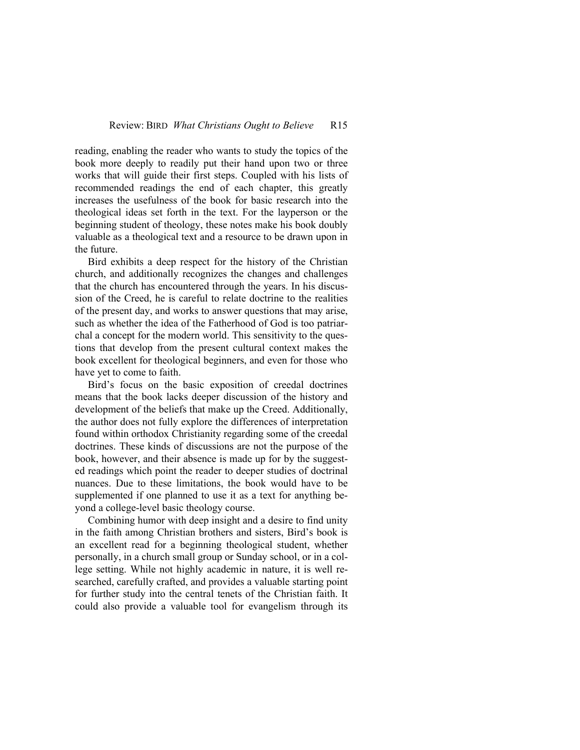reading, enabling the reader who wants to study the topics of the book more deeply to readily put their hand upon two or three works that will guide their first steps. Coupled with his lists of recommended readings the end of each chapter, this greatly increases the usefulness of the book for basic research into the theological ideas set forth in the text. For the layperson or the beginning student of theology, these notes make his book doubly valuable as a theological text and a resource to be drawn upon in the future.

Bird exhibits a deep respect for the history of the Christian church, and additionally recognizes the changes and challenges that the church has encountered through the years. In his discussion of the Creed, he is careful to relate doctrine to the realities of the present day, and works to answer questions that may arise, such as whether the idea of the Fatherhood of God is too patriarchal a concept for the modern world. This sensitivity to the questions that develop from the present cultural context makes the book excellent for theological beginners, and even for those who have yet to come to faith.

Bird's focus on the basic exposition of creedal doctrines means that the book lacks deeper discussion of the history and development of the beliefs that make up the Creed. Additionally, the author does not fully explore the differences of interpretation found within orthodox Christianity regarding some of the creedal doctrines. These kinds of discussions are not the purpose of the book, however, and their absence is made up for by the suggested readings which point the reader to deeper studies of doctrinal nuances. Due to these limitations, the book would have to be supplemented if one planned to use it as a text for anything beyond a college-level basic theology course.

Combining humor with deep insight and a desire to find unity in the faith among Christian brothers and sisters, Bird's book is an excellent read for a beginning theological student, whether personally, in a church small group or Sunday school, or in a college setting. While not highly academic in nature, it is well researched, carefully crafted, and provides a valuable starting point for further study into the central tenets of the Christian faith. It could also provide a valuable tool for evangelism through its